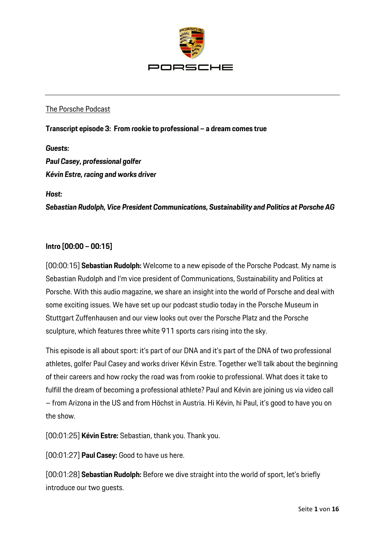

### The Porsche Podcast

#### **Transcript episode 3: From rookie to professional – a dream comes true**

#### *Guests:*

*Paul Casey, professional golfer Kévin Estre, racing and works driver*

*Host:* 

*Sebastian Rudolph, Vice President Communications, Sustainability and Politics at Porsche AG*

#### **Intro [00:00 – 00:15]**

[00:00:15] **Sebastian Rudolph:** Welcome to a new episode of the Porsche Podcast. My name is Sebastian Rudolph and I'm vice president of Communications, Sustainability and Politics at Porsche. With this audio magazine, we share an insight into the world of Porsche and deal with some exciting issues. We have set up our podcast studio today in the Porsche Museum in Stuttgart Zuffenhausen and our view looks out over the Porsche Platz and the Porsche sculpture, which features three white 911 sports cars rising into the sky.

This episode is all about sport: it's part of our DNA and it's part of the DNA of two professional athletes, golfer Paul Casey and works driver Kévin Estre. Together we'll talk about the beginning of their careers and how rocky the road was from rookie to professional. What does it take to fulfill the dream of becoming a professional athlete? Paul and Kévin are joining us via video call – from Arizona in the US and from Höchst in Austria. Hi Kévin, hi Paul, it's good to have you on the show.

[00:01:25] **Kévin Estre:** Sebastian, thank you. Thank you.

[00:01:27] **Paul Casey:** Good to have us here.

[00:01:28] **Sebastian Rudolph:** Before we dive straight into the world of sport, let's briefly introduce our two guests.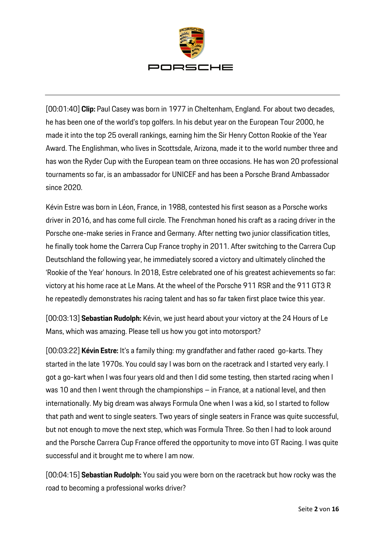

[00:01:40] **Clip:** Paul Casey was born in 1977 in Cheltenham, England. For about two decades, he has been one of the world's top golfers. In his debut year on the European Tour 2000, he made it into the top 25 overall rankings, earning him the Sir Henry Cotton Rookie of the Year Award. The Englishman, who lives in Scottsdale, Arizona, made it to the world number three and has won the Ryder Cup with the European team on three occasions. He has won 20 professional tournaments so far, is an ambassador for UNICEF and has been a Porsche Brand Ambassador since 2020.

Kévin Estre was born in Léon, France, in 1988, contested his first season as a Porsche works driver in 2016, and has come full circle. The Frenchman honed his craft as a racing driver in the Porsche one-make series in France and Germany. After netting two junior classification titles, he finally took home the Carrera Cup France trophy in 2011. After switching to the Carrera Cup Deutschland the following year, he immediately scored a victory and ultimately clinched the 'Rookie of the Year' honours. In 2018, Estre celebrated one of his greatest achievements so far: victory at his home race at Le Mans. At the wheel of the Porsche 911 RSR and the 911 GT3 R he repeatedly demonstrates his racing talent and has so far taken first place twice this year.

[00:03:13] **Sebastian Rudolph:** Kévin, we just heard about your victory at the 24 Hours of Le Mans, which was amazing. Please tell us how you got into motorsport?

[00:03:22] **Kévin Estre:** It's a family thing: my grandfather and father raced go-karts. They started in the late 1970s. You could say I was born on the racetrack and I started very early. I got a go-kart when I was four years old and then I did some testing, then started racing when I was 10 and then I went through the championships – in France, at a national level, and then internationally. My big dream was always Formula One when I was a kid, so I started to follow that path and went to single seaters. Two years of single seaters in France was quite successful, but not enough to move the next step, which was Formula Three. So then I had to look around and the Porsche Carrera Cup France offered the opportunity to move into GT Racing. I was quite successful and it brought me to where I am now.

[00:04:15] **Sebastian Rudolph:** You said you were born on the racetrack but how rocky was the road to becoming a professional works driver?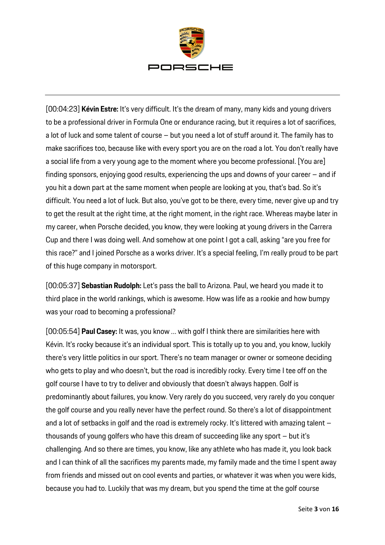

[00:04:23] **Kévin Estre:** It's very difficult. It's the dream of many, many kids and young drivers to be a professional driver in Formula One or endurance racing, but it requires a lot of sacrifices, a lot of luck and some talent of course – but you need a lot of stuff around it. The family has to make sacrifices too, because like with every sport you are on the road a lot. You don't really have a social life from a very young age to the moment where you become professional. [You are] finding sponsors, enjoying good results, experiencing the ups and downs of your career – and if you hit a down part at the same moment when people are looking at you, that's bad. So it's difficult. You need a lot of luck. But also, you've got to be there, every time, never give up and try to get the result at the right time, at the right moment, in the right race. Whereas maybe later in my career, when Porsche decided, you know, they were looking at young drivers in the Carrera Cup and there I was doing well. And somehow at one point I got a call, asking "are you free for this race?" and I joined Porsche as a works driver. It's a special feeling, I'm really proud to be part of this huge company in motorsport.

[00:05:37] **Sebastian Rudolph:** Let's pass the ball to Arizona. Paul, we heard you made it to third place in the world rankings, which is awesome. How was life as a rookie and how bumpy was your road to becoming a professional?

[00:05:54] **Paul Casey:** It was, you know … with golf I think there are similarities here with Kévin. It's rocky because it's an individual sport. This is totally up to you and, you know, luckily there's very little politics in our sport. There's no team manager or owner or someone deciding who gets to play and who doesn't, but the road is incredibly rocky. Every time I tee off on the golf course I have to try to deliver and obviously that doesn't always happen. Golf is predominantly about failures, you know. Very rarely do you succeed, very rarely do you conquer the golf course and you really never have the perfect round. So there's a lot of disappointment and a lot of setbacks in golf and the road is extremely rocky. It's littered with amazing talent – thousands of young golfers who have this dream of succeeding like any sport – but it's challenging. And so there are times, you know, like any athlete who has made it, you look back and I can think of all the sacrifices my parents made, my family made and the time I spent away from friends and missed out on cool events and parties, or whatever it was when you were kids, because you had to. Luckily that was my dream, but you spend the time at the golf course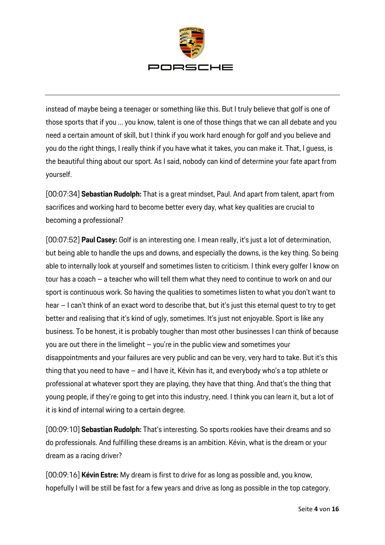

instead of maybe being a teenager or something like this. But I truly believe that golf is one of those sports that if you … you know, talent is one of those things that we can all debate and you need a certain amount of skill, but I think if you work hard enough for golf and you believe and you do the right things, I really think if you have what it takes, you can make it. That, I guess, is the beautiful thing about our sport. As I said, nobody can kind of determine your fate apart from yourself.

[00:07:34] **Sebastian Rudolph:** That is a great mindset, Paul. And apart from talent, apart from sacrifices and working hard to become better every day, what key qualities are crucial to becoming a professional?

[00:07:52] **Paul Casey:** Golf is an interesting one. I mean really, it's just a lot of determination, but being able to handle the ups and downs, and especially the downs, is the key thing. So being able to internally look at yourself and sometimes listen to criticism. I think every golfer I know on tour has a coach – a teacher who will tell them what they need to continue to work on and our sport is continuous work. So having the qualities to sometimes listen to what you don't want to hear – I can't think of an exact word to describe that, but it's just this eternal quest to try to get better and realising that it's kind of ugly, sometimes. It's just not enjoyable. Sport is like any business. To be honest, it is probably tougher than most other businesses I can think of because you are out there in the limelight – you're in the public view and sometimes your disappointments and your failures are very public and can be very, very hard to take. But it's this thing that you need to have – and I have it, Kévin has it, and everybody who's a top athlete or professional at whatever sport they are playing, they have that thing. And that's the thing that young people, if they're going to get into this industry, need. I think you can learn it, but a lot of it is kind of internal wiring to a certain degree.

[00:09:10] **Sebastian Rudolph:** That's interesting. So sports rookies have their dreams and so do professionals. And fulfilling these dreams is an ambition. Kévin, what is the dream or your dream as a racing driver?

[00:09:16] **Kévin Estre:** My dream is first to drive for as long as possible and, you know, hopefully I will be still be fast for a few years and drive as long as possible in the top category.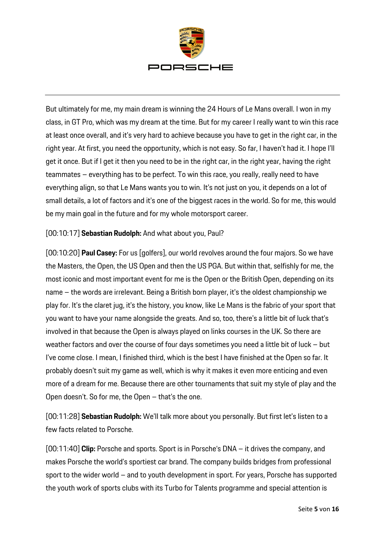

But ultimately for me, my main dream is winning the 24 Hours of Le Mans overall. I won in my class, in GT Pro, which was my dream at the time. But for my career I really want to win this race at least once overall, and it's very hard to achieve because you have to get in the right car, in the right year. At first, you need the opportunity, which is not easy. So far, I haven't had it. I hope I'll get it once. But if I get it then you need to be in the right car, in the right year, having the right teammates – everything has to be perfect. To win this race, you really, really need to have everything align, so that Le Mans wants you to win. It's not just on you, it depends on a lot of small details, a lot of factors and it's one of the biggest races in the world. So for me, this would be my main goal in the future and for my whole motorsport career.

## [00:10:17] **Sebastian Rudolph:** And what about you, Paul?

[00:10:20] **Paul Casey:** For us [golfers], our world revolves around the four majors. So we have the Masters, the Open, the US Open and then the US PGA. But within that, selfishly for me, the most iconic and most important event for me is the Open or the British Open, depending on its name – the words are irrelevant. Being a British born player, it's the oldest championship we play for. It's the claret jug, it's the history, you know, like Le Mans is the fabric of your sport that you want to have your name alongside the greats. And so, too, there's a little bit of luck that's involved in that because the Open is always played on links courses in the UK. So there are weather factors and over the course of four days sometimes you need a little bit of luck – but I've come close. I mean, I finished third, which is the best I have finished at the Open so far. It probably doesn't suit my game as well, which is why it makes it even more enticing and even more of a dream for me. Because there are other tournaments that suit my style of play and the Open doesn't. So for me, the Open – that's the one.

[00:11:28] **Sebastian Rudolph:** We'll talk more about you personally. But first let's listen to a few facts related to Porsche.

[00:11:40] **Clip:** Porsche and sports. Sport is in Porsche's DNA – it drives the company, and makes Porsche the world's sportiest car brand. The company builds bridges from professional sport to the wider world – and to youth development in sport. For years, Porsche has supported the youth work of sports clubs with its Turbo for Talents programme and special attention is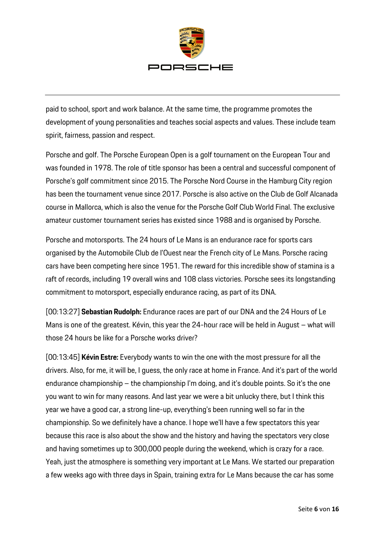

paid to school, sport and work balance. At the same time, the programme promotes the development of young personalities and teaches social aspects and values. These include team spirit, fairness, passion and respect.

Porsche and golf. The Porsche European Open is a golf tournament on the European Tour and was founded in 1978. The role of title sponsor has been a central and successful component of Porsche's golf commitment since 2015. The Porsche Nord Course in the Hamburg City region has been the tournament venue since 2017. Porsche is also active on the Club de Golf Alcanada course in Mallorca, which is also the venue for the Porsche Golf Club World Final. The exclusive amateur customer tournament series has existed since 1988 and is organised by Porsche.

Porsche and motorsports. The 24 hours of Le Mans is an endurance race for sports cars organised by the Automobile Club de l'Ouest near the French city of Le Mans. Porsche racing cars have been competing here since 1951. The reward for this incredible show of stamina is a raft of records, including 19 overall wins and 108 class victories. Porsche sees its longstanding commitment to motorsport, especially endurance racing, as part of its DNA.

[00:13:27] **Sebastian Rudolph:** Endurance races are part of our DNA and the 24 Hours of Le Mans is one of the greatest. Kévin, this year the 24-hour race will be held in August – what will those 24 hours be like for a Porsche works driver?

[00:13:45] **Kévin Estre:** Everybody wants to win the one with the most pressure for all the drivers. Also, for me, it will be, I guess, the only race at home in France. And it's part of the world endurance championship – the championship I'm doing, and it's double points. So it's the one you want to win for many reasons. And last year we were a bit unlucky there, but I think this year we have a good car, a strong line-up, everything's been running well so far in the championship. So we definitely have a chance. I hope we'll have a few spectators this year because this race is also about the show and the history and having the spectators very close and having sometimes up to 300,000 people during the weekend, which is crazy for a race. Yeah, just the atmosphere is something very important at Le Mans. We started our preparation a few weeks ago with three days in Spain, training extra for Le Mans because the car has some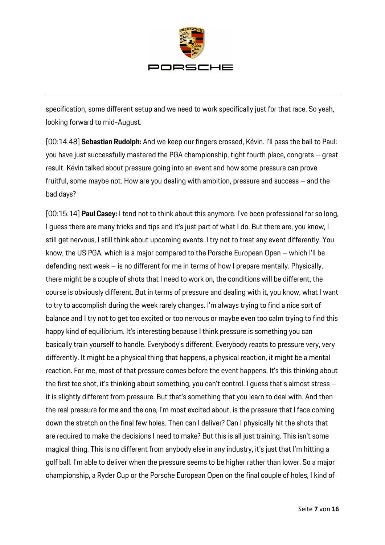

specification, some different setup and we need to work specifically just for that race. So yeah, looking forward to mid-August.

[00:14:48] **Sebastian Rudolph:** And we keep our fingers crossed, Kévin. I'll pass the ball to Paul: you have just successfully mastered the PGA championship, tight fourth place, congrats – great result. Kévin talked about pressure going into an event and how some pressure can prove fruitful, some maybe not. How are you dealing with ambition, pressure and success – and the bad days?

[00:15:14] **Paul Casey:** I tend not to think about this anymore. I've been professional for so long, I guess there are many tricks and tips and it's just part of what I do. But there are, you know, I still get nervous, I still think about upcoming events. I try not to treat any event differently. You know, the US PGA, which is a major compared to the Porsche European Open – which I'll be defending next week – is no different for me in terms of how I prepare mentally. Physically, there might be a couple of shots that I need to work on, the conditions will be different, the course is obviously different. But in terms of pressure and dealing with it, you know, what I want to try to accomplish during the week rarely changes. I'm always trying to find a nice sort of balance and I try not to get too excited or too nervous or maybe even too calm trying to find this happy kind of equilibrium. It's interesting because I think pressure is something you can basically train yourself to handle. Everybody's different. Everybody reacts to pressure very, very differently. It might be a physical thing that happens, a physical reaction, it might be a mental reaction. For me, most of that pressure comes before the event happens. It's this thinking about the first tee shot, it's thinking about something, you can't control. I guess that's almost stress – it is slightly different from pressure. But that's something that you learn to deal with. And then the real pressure for me and the one, I'm most excited about, is the pressure that I face coming down the stretch on the final few holes. Then can I deliver? Can I physically hit the shots that are required to make the decisions I need to make? But this is all just training. This isn't some magical thing. This is no different from anybody else in any industry, it's just that I'm hitting a golf ball. I'm able to deliver when the pressure seems to be higher rather than lower. So a major championship, a Ryder Cup or the Porsche European Open on the final couple of holes, I kind of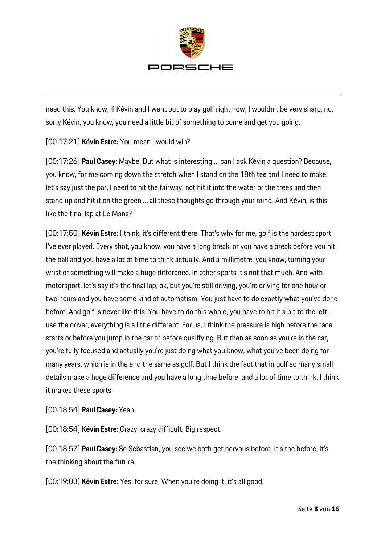

need this. You know, if Kévin and I went out to play golf right now, I wouldn't be very sharp, no, sorry Kévin, you know, you need a little bit of something to come and get you going.

## [00:17:21] **Kévin Estre:** You mean I would win?

[00:17:26] **Paul Casey:** Maybe! But what is interesting … can I ask Kévin a question? Because, you know, for me coming down the stretch when I stand on the 18th tee and I need to make, let's say just the par, I need to hit the fairway, not hit it into the water or the trees and then stand up and hit it on the green … all these thoughts go through your mind. And Kévin, is this like the final lap at Le Mans?

[00:17:50] **Kévin Estre:** I think, it's different there. That's why for me, golf is the hardest sport I've ever played. Every shot, you know, you have a long break, or you have a break before you hit the ball and you have a lot of time to think actually. And a millimetre, you know, turning your wrist or something will make a huge difference. In other sports it's not that much. And with motorsport, let's say it's the final lap, ok, but you're still driving, you're driving for one hour or two hours and you have some kind of automatism. You just have to do exactly what you've done before. And golf is never like this. You have to do this whole, you have to hit it a bit to the left, use the driver, everything is a little different. For us, I think the pressure is high before the race starts or before you jump in the car or before qualifying. But then as soon as you're in the car, you're fully focused and actually you're just doing what you know, what you've been doing for many years, which is in the end the same as golf. But I think the fact that in golf so many small details make a huge difference and you have a long time before, and a lot of time to think, I think it makes these sports.

[00:18:54] **Paul Casey:** Yeah.

[00:18:54] **Kévin Estre:** Crazy, crazy difficult. Big respect.

[00:18:57] **Paul Casey:** So Sebastian, you see we both get nervous before: it's the before, it's the thinking about the future.

[00:19:03] **Kévin Estre:** Yes, for sure. When you're doing it, it's all good.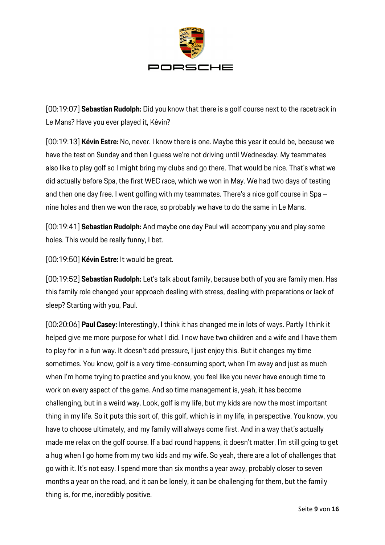

[00:19:07] **Sebastian Rudolph:** Did you know that there is a golf course next to the racetrack in Le Mans? Have you ever played it, Kévin?

[00:19:13] **Kévin Estre:** No, never. I know there is one. Maybe this year it could be, because we have the test on Sunday and then I guess we're not driving until Wednesday. My teammates also like to play golf so I might bring my clubs and go there. That would be nice. That's what we did actually before Spa, the first WEC race, which we won in May. We had two days of testing and then one day free. I went golfing with my teammates. There's a nice golf course in Spa – nine holes and then we won the race, so probably we have to do the same in Le Mans.

[00:19:41] **Sebastian Rudolph:** And maybe one day Paul will accompany you and play some holes. This would be really funny, I bet.

[00:19:50] **Kévin Estre:** It would be great.

[00:19:52] **Sebastian Rudolph:** Let's talk about family, because both of you are family men. Has this family role changed your approach dealing with stress, dealing with preparations or lack of sleep? Starting with you, Paul.

[00:20:06] **Paul Casey:** Interestingly, I think it has changed me in lots of ways. Partly I think it helped give me more purpose for what I did. I now have two children and a wife and I have them to play for in a fun way. It doesn't add pressure, I just enjoy this. But it changes my time sometimes. You know, golf is a very time-consuming sport, when I'm away and just as much when I'm home trying to practice and you know, you feel like you never have enough time to work on every aspect of the game. And so time management is, yeah, it has become challenging, but in a weird way. Look, golf is my life, but my kids are now the most important thing in my life. So it puts this sort of, this golf, which is in my life, in perspective. You know, you have to choose ultimately, and my family will always come first. And in a way that's actually made me relax on the golf course. If a bad round happens, it doesn't matter, I'm still going to get a hug when I go home from my two kids and my wife. So yeah, there are a lot of challenges that go with it. It's not easy. I spend more than six months a year away, probably closer to seven months a year on the road, and it can be lonely, it can be challenging for them, but the family thing is, for me, incredibly positive.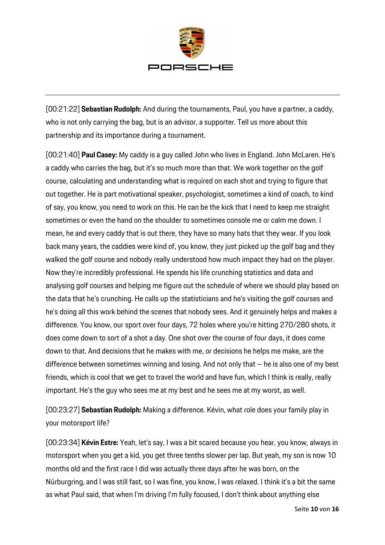

[00:21:22] **Sebastian Rudolph:** And during the tournaments, Paul, you have a partner, a caddy, who is not only carrying the bag, but is an advisor, a supporter. Tell us more about this partnership and its importance during a tournament.

[00:21:40] **Paul Casey:** My caddy is a guy called John who lives in England. John McLaren. He's a caddy who carries the bag, but it's so much more than that. We work together on the golf course, calculating and understanding what is required on each shot and trying to figure that out together. He is part motivational speaker, psychologist, sometimes a kind of coach, to kind of say, you know, you need to work on this. He can be the kick that I need to keep me straight sometimes or even the hand on the shoulder to sometimes console me or calm me down. I mean, he and every caddy that is out there, they have so many hats that they wear. If you look back many years, the caddies were kind of, you know, they just picked up the golf bag and they walked the golf course and nobody really understood how much impact they had on the player. Now they're incredibly professional. He spends his life crunching statistics and data and analysing golf courses and helping me figure out the schedule of where we should play based on the data that he's crunching. He calls up the statisticians and he's visiting the golf courses and he's doing all this work behind the scenes that nobody sees. And it genuinely helps and makes a difference. You know, our sport over four days, 72 holes where you're hitting 270/280 shots, it does come down to sort of a shot a day. One shot over the course of four days, it does come down to that. And decisions that he makes with me, or decisions he helps me make, are the difference between sometimes winning and losing. And not only that – he is also one of my best friends, which is cool that we get to travel the world and have fun, which I think is really, really important. He's the guy who sees me at my best and he sees me at my worst, as well.

[00:23:27] **Sebastian Rudolph:** Making a difference. Kévin, what role does your family play in your motorsport life?

[00:23:34] **Kévin Estre:** Yeah, let's say, I was a bit scared because you hear, you know, always in motorsport when you get a kid, you get three tenths slower per lap. But yeah, my son is now 10 months old and the first race I did was actually three days after he was born, on the Nürburgring, and I was still fast, so I was fine, you know, I was relaxed. I think it's a bit the same as what Paul said, that when I'm driving I'm fully focused, I don't think about anything else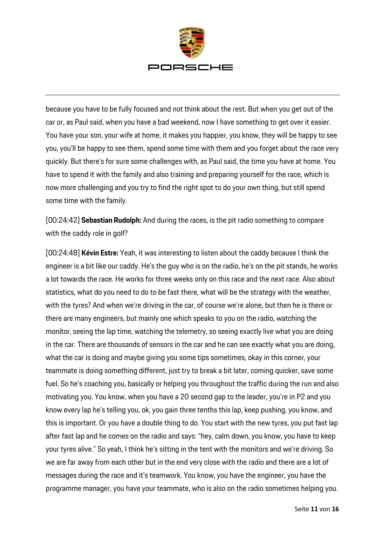

because you have to be fully focused and not think about the rest. But when you get out of the car or, as Paul said, when you have a bad weekend, now I have something to get over it easier. You have your son, your wife at home, it makes you happier, you know, they will be happy to see you, you'll be happy to see them, spend some time with them and you forget about the race very quickly. But there's for sure some challenges with, as Paul said, the time you have at home. You have to spend it with the family and also training and preparing yourself for the race, which is now more challenging and you try to find the right spot to do your own thing, but still spend some time with the family.

[00:24:42] **Sebastian Rudolph:** And during the races, is the pit radio something to compare with the caddy role in golf?

[00:24:48] **Kévin Estre:** Yeah, it was interesting to listen about the caddy because I think the engineer is a bit like our caddy. He's the guy who is on the radio, he's on the pit stands, he works a lot towards the race. He works for three weeks only on this race and the next race. Also about statistics, what do you need to do to be fast there, what will be the strategy with the weather, with the tyres? And when we're driving in the car, of course we're alone, but then he is there or there are many engineers, but mainly one which speaks to you on the radio, watching the monitor, seeing the lap time, watching the telemetry, so seeing exactly live what you are doing in the car. There are thousands of sensors in the car and he can see exactly what you are doing, what the car is doing and maybe giving you some tips sometimes, okay in this corner, your teammate is doing something different, just try to break a bit later, coming quicker, save some fuel. So he's coaching you, basically or helping you throughout the traffic during the run and also motivating you. You know, when you have a 20 second gap to the leader, you're in P2 and you know every lap he's telling you, ok, you gain three tenths this lap, keep pushing, you know, and this is important. Or you have a double thing to do. You start with the new tyres, you put fast lap after fast lap and he comes on the radio and says: "hey, calm down, you know, you have to keep your tyres alive." So yeah, I think he's sitting in the tent with the monitors and we're driving. So we are far away from each other but in the end very close with the radio and there are a lot of messages during the race and it's teamwork. You know, you have the engineer, you have the programme manager, you have your teammate, who is also on the radio sometimes helping you.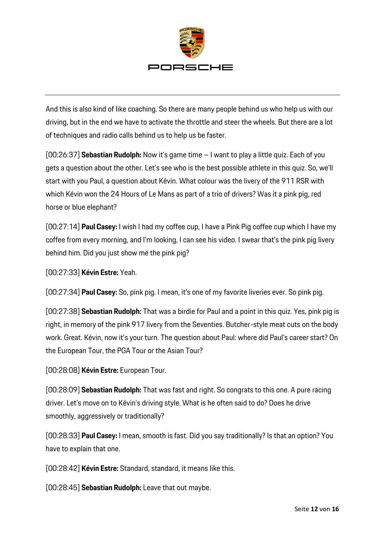

And this is also kind of like coaching. So there are many people behind us who help us with our driving, but in the end we have to activate the throttle and steer the wheels. But there are a lot of techniques and radio calls behind us to help us be faster.

[00:26:37] **Sebastian Rudolph:** Now it's game time – I want to play a little quiz. Each of you gets a question about the other. Let's see who is the best possible athlete in this quiz. So, we'll start with you Paul, a question about Kévin. What colour was the livery of the 911 RSR with which Kévin won the 24 Hours of Le Mans as part of a trio of drivers? Was it a pink pig, red horse or blue elephant?

[00:27:14] **Paul Casey:** I wish I had my coffee cup, I have a Pink Pig coffee cup which I have my coffee from every morning, and I'm looking, I can see his video. I swear that's the pink pig livery behind him. Did you just show me the pink pig?

[00:27:33] **Kévin Estre:** Yeah.

[00:27:34] **Paul Casey:** So, pink pig. I mean, it's one of my favorite liveries ever. So pink pig.

[00:27:38] **Sebastian Rudolph:** That was a birdie for Paul and a point in this quiz. Yes, pink pig is right, in memory of the pink 917 livery from the Seventies. Butcher-style meat cuts on the body work. Great. Kévin, now it's your turn. The question about Paul: where did Paul's career start? On the European Tour, the PGA Tour or the Asian Tour?

[00:28:08] **Kévin Estre:** European Tour.

[00:28:09] **Sebastian Rudolph:** That was fast and right. So congrats to this one. A pure racing driver. Let's move on to Kévin's driving style. What is he often said to do? Does he drive smoothly, aggressively or traditionally?

[00:28:33] **Paul Casey:** I mean, smooth is fast. Did you say traditionally? Is that an option? You have to explain that one.

[00:28:42] **Kévin Estre:** Standard, standard, it means like this.

[00:28:45] **Sebastian Rudolph:** Leave that out maybe.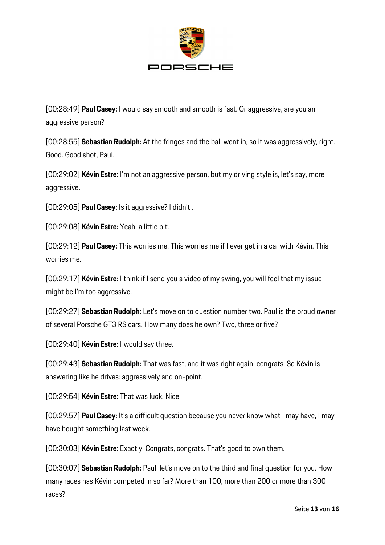

[00:28:49] **Paul Casey:** I would say smooth and smooth is fast. Or aggressive, are you an aggressive person?

[00:28:55] **Sebastian Rudolph:** At the fringes and the ball went in, so it was aggressively, right. Good. Good shot, Paul.

[00:29:02] **Kévin Estre:** I'm not an aggressive person, but my driving style is, let's say, more aggressive.

[00:29:05] **Paul Casey:** Is it aggressive? I didn't …

[00:29:08] **Kévin Estre:** Yeah, a little bit.

[00:29:12] **Paul Casey:** This worries me. This worries me if I ever get in a car with Kévin. This worries me.

[00:29:17] **Kévin Estre:** I think if I send you a video of my swing, you will feel that my issue might be I'm too aggressive.

[00:29:27] **Sebastian Rudolph:** Let's move on to question number two. Paul is the proud owner of several Porsche GT3 RS cars. How many does he own? Two, three or five?

[00:29:40] **Kévin Estre:** I would say three.

[00:29:43] **Sebastian Rudolph:** That was fast, and it was right again, congrats. So Kévin is answering like he drives: aggressively and on-point.

[00:29:54] **Kévin Estre:** That was luck. Nice.

[00:29:57] **Paul Casey:** It's a difficult question because you never know what I may have, I may have bought something last week.

[00:30:03] **Kévin Estre:** Exactly. Congrats, congrats. That's good to own them.

[00:30:07] **Sebastian Rudolph:** Paul, let's move on to the third and final question for you. How many races has Kévin competed in so far? More than 100, more than 200 or more than 300 races?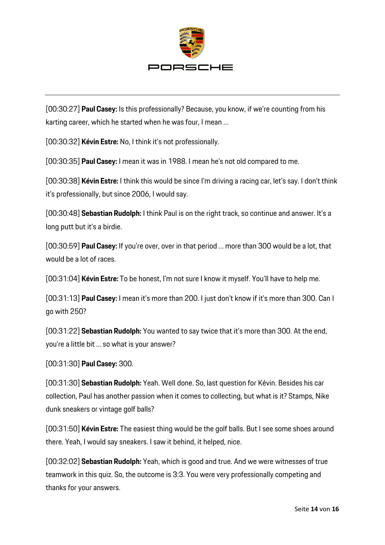

[00:30:27] **Paul Casey:** Is this professionally? Because, you know, if we're counting from his karting career, which he started when he was four, I mean …

[00:30:32] **Kévin Estre:** No, I think it's not professionally.

[00:30:35] **Paul Casey:** I mean it was in 1988. I mean he's not old compared to me.

[00:30:38] **Kévin Estre:** I think this would be since I'm driving a racing car, let's say. I don't think it's professionally, but since 2006, I would say.

[00:30:48] **Sebastian Rudolph:** I think Paul is on the right track, so continue and answer. It's a long putt but it's a birdie.

[00:30:59] **Paul Casey:** If you're over, over in that period … more than 300 would be a lot, that would be a lot of races.

[00:31:04] **Kévin Estre:** To be honest, I'm not sure I know it myself. You'll have to help me.

[00:31:13] **Paul Casey:** I mean it's more than 200. I just don't know if it's more than 300. Can I go with 250?

[00:31:22] **Sebastian Rudolph:** You wanted to say twice that it's more than 300. At the end, you're a little bit … so what is your answer?

[00:31:30] **Paul Casey:** 300.

[00:31:30] **Sebastian Rudolph:** Yeah. Well done. So, last question for Kévin. Besides his car collection, Paul has another passion when it comes to collecting, but what is it? Stamps, Nike dunk sneakers or vintage golf balls?

[00:31:50] **Kévin Estre:** The easiest thing would be the golf balls. But I see some shoes around there. Yeah, I would say sneakers. I saw it behind, it helped, nice.

[00:32:02] **Sebastian Rudolph:** Yeah, which is good and true. And we were witnesses of true teamwork in this quiz. So, the outcome is 3:3. You were very professionally competing and thanks for your answers.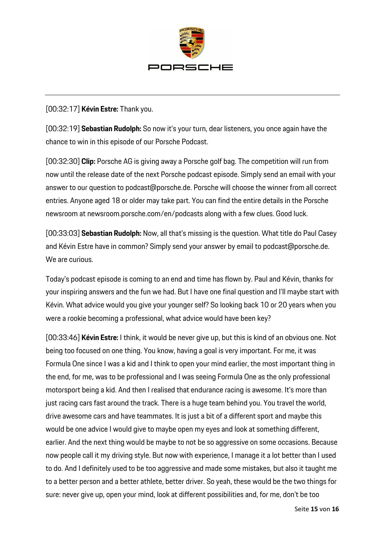

[00:32:17] **Kévin Estre:** Thank you.

[00:32:19] **Sebastian Rudolph:** So now it's your turn, dear listeners, you once again have the chance to win in this episode of our Porsche Podcast.

[00:32:30] **Clip:** Porsche AG is giving away a Porsche golf bag. The competition will run from now until the release date of the next Porsche podcast episode. Simply send an email with your answer to our question to podcast@porsche.de. Porsche will choose the winner from all correct entries. Anyone aged 18 or older may take part. You can find the entire details in the Porsche newsroom at newsroom.porsche.com/en/podcasts along with a few clues. Good luck.

[00:33:03] **Sebastian Rudolph:** Now, all that's missing is the question. What title do Paul Casey and Kévin Estre have in common? Simply send your answer by email to podcast@porsche.de. We are curious.

Today's podcast episode is coming to an end and time has flown by. Paul and Kévin, thanks for your inspiring answers and the fun we had. But I have one final question and I'll maybe start with Kévin. What advice would you give your younger self? So looking back 10 or 20 years when you were a rookie becoming a professional, what advice would have been key?

[00:33:46] **Kévin Estre:** I think, it would be never give up, but this is kind of an obvious one. Not being too focused on one thing. You know, having a goal is very important. For me, it was Formula One since I was a kid and I think to open your mind earlier, the most important thing in the end, for me, was to be professional and I was seeing Formula One as the only professional motorsport being a kid. And then I realised that endurance racing is awesome. It's more than just racing cars fast around the track. There is a huge team behind you. You travel the world, drive awesome cars and have teammates. It is just a bit of a different sport and maybe this would be one advice I would give to maybe open my eyes and look at something different, earlier. And the next thing would be maybe to not be so aggressive on some occasions. Because now people call it my driving style. But now with experience, I manage it a lot better than I used to do. And I definitely used to be too aggressive and made some mistakes, but also it taught me to a better person and a better athlete, better driver. So yeah, these would be the two things for sure: never give up, open your mind, look at different possibilities and, for me, don't be too